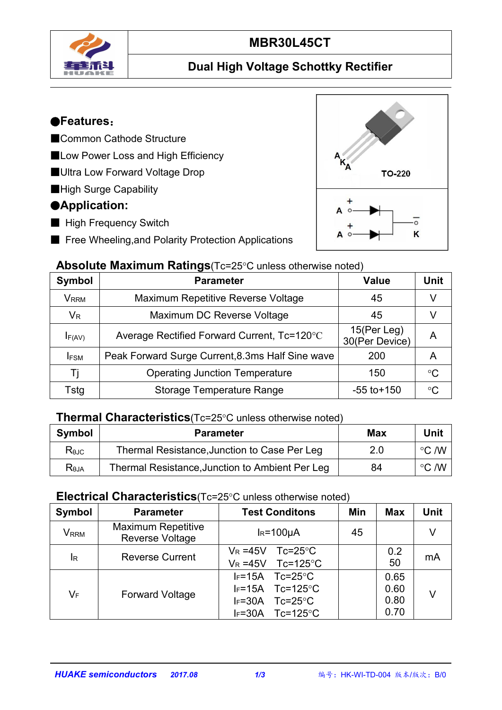

# **MBR30L45CT**

## **Dual High Voltage Schottky Rectifier**

#### ●**Features**:

- ■Common Cathode Structure
- ■Low Power Loss and High Efficiency
- ■Ultra Low Forward Voltage Drop
- ■High Surge Capability

### ●**Application:**

- High Frequency Switch
- Free Wheeling, and Polarity Protection Applications



#### **Absolute Maximum Ratings**(Tc=25°C unless otherwise noted)

| Symbol      | <b>Parameter</b>                                 | <b>Value</b>                  | <b>Unit</b>     |
|-------------|--------------------------------------------------|-------------------------------|-----------------|
| <b>VRRM</b> | Maximum Repetitive Reverse Voltage               | 45                            |                 |
| $V_R$       | Maximum DC Reverse Voltage                       | 45                            |                 |
| $I_{F(AV)}$ | Average Rectified Forward Current, Tc=120°C      | 15(Per Leg)<br>30(Per Device) | A               |
| <b>IFSM</b> | Peak Forward Surge Current, 8.3ms Half Sine wave | 200                           | A               |
| Ti          | <b>Operating Junction Temperature</b>            | 150                           | $\rm ^{\circ}C$ |
| Tstg        | <b>Storage Temperature Range</b>                 | $-55$ to $+150$               | $\rm ^{\circ}C$ |

#### **Thermal Characteristics**(Tc=25°C unless otherwise noted)

| <b>Symbol</b>    | Parameter                                       | <b>Max</b> | <b>Unit</b>                |
|------------------|-------------------------------------------------|------------|----------------------------|
| $R_{\theta$ JC   | Thermal Resistance, Junction to Case Per Leg    | ח ר        | $\rm ^{\circ}C$ /W         |
| R <sub>bJA</sub> | Thermal Resistance, Junction to Ambient Per Leg | 84         | $^{\circ}$ C /W $^{\circ}$ |

#### **Electrical Characteristics**(Tc=25°C unless otherwise noted)

| Symbol      | <b>Parameter</b>                             | <b>Test Conditons</b>                                                                                                                  | Min | <b>Max</b>                   | <b>Unit</b> |
|-------------|----------------------------------------------|----------------------------------------------------------------------------------------------------------------------------------------|-----|------------------------------|-------------|
| <b>VRRM</b> | <b>Maximum Repetitive</b><br>Reverse Voltage | $IR=100µA$                                                                                                                             | 45  |                              | V           |
| $I_R$       | <b>Reverse Current</b>                       | $V_R = 45V$<br>$Tc = 25^{\circ}C$<br>Tc=125 $\degree$ C<br>$V_R = 45V$                                                                 |     | 0.2<br>50                    | mA          |
| VF          | <b>Forward Voltage</b>                       | $IF=15A$<br>$Tc = 25^{\circ}C$<br>Tc=125 $\degree$ C<br>$IF=15A$<br>$IF=30A$<br>$Tc = 25^{\circ}C$<br>$Tc=125^{\circ}C$<br>$I_F = 30A$ |     | 0.65<br>0.60<br>0.80<br>0.70 | V           |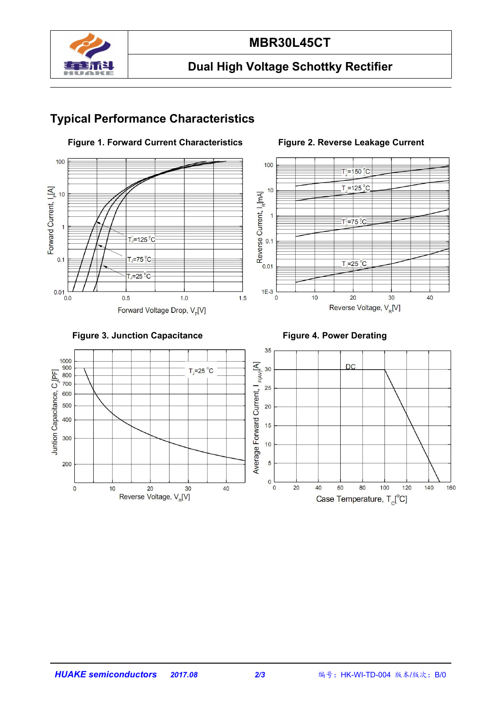

#### **MBR30L45CT**

## **Dual High Voltage Schottky Rectifier**

## **Typical Performance Characteristics**



#### **Figure 1. Forward Current Characteristics Figure 2. Reverse Leakage Current**